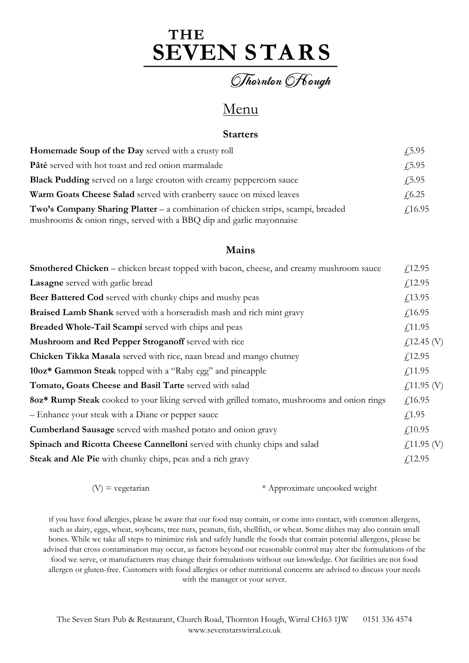# THE **SEVEN STARS**

Thornton Fough

# Menu

#### Starters

| $\sqrt{5.95}$  |
|----------------|
| $\sqrt{5.95}$  |
| $\sqrt{5.95}$  |
| $\sqrt{6.25}$  |
| $\sqrt{16.95}$ |
|                |

#### Mains

| Smothered Chicken - chicken breast topped with bacon, cheese, and creamy mushroom sauce     | $f$ 12.95             |
|---------------------------------------------------------------------------------------------|-----------------------|
| Lasagne served with garlic bread                                                            | f(12.95)              |
| <b>Beer Battered Cod</b> served with chunky chips and mushy peas                            | f(13.95)              |
| Braised Lamb Shank served with a horseradish mash and rich mint gravy                       | f16.95                |
| Breaded Whole-Tail Scampi served with chips and peas                                        | f(11.95)              |
| Mushroom and Red Pepper Stroganoff served with rice                                         | $f(12.45)$ (V)        |
| Chicken Tikka Masala served with rice, naan bread and mango chutney                         | f12.95                |
| 10oz* Gammon Steak topped with a "Raby egg" and pineapple                                   | $f$ 11.95             |
| Tomato, Goats Cheese and Basil Tarte served with salad                                      | $\angle 11.95$ (V)    |
| 8oz* Rump Steak cooked to your liking served with grilled tomato, mushrooms and onion rings | f16.95                |
| - Enhance your steak with a Diane or pepper sauce                                           | f(1.95)               |
| <b>Cumberland Sausage</b> served with mashed potato and onion gravy                         | f(10.95)              |
| Spinach and Ricotta Cheese Cannelloni served with chunky chips and salad                    | $\angle 11.95 \, (V)$ |
| Steak and Ale Pie with chunky chips, peas and a rich gravy                                  | f12.95                |

 $(V)$  = vegetarian  $*$  Approximate uncooked weight

If you have food allergies, please be aware that our food may contain, or come into contact, with common allergens, such as dairy, eggs, wheat, soybeans, tree nuts, peanuts, fish, shellfish, or wheat. Some dishes may also contain small bones. While we take all steps to minimize risk and safely handle the foods that contain potential allergens, please be advised that cross contamination may occur, as factors beyond our reasonable control may alter the formulations of the food we serve, or manufacturers may change their formulations without our knowledge. Our facilities are not food allergen or gluten-free. Customers with food allergies or other nutritional concerns are advised to discuss your needs with the manager or your server.